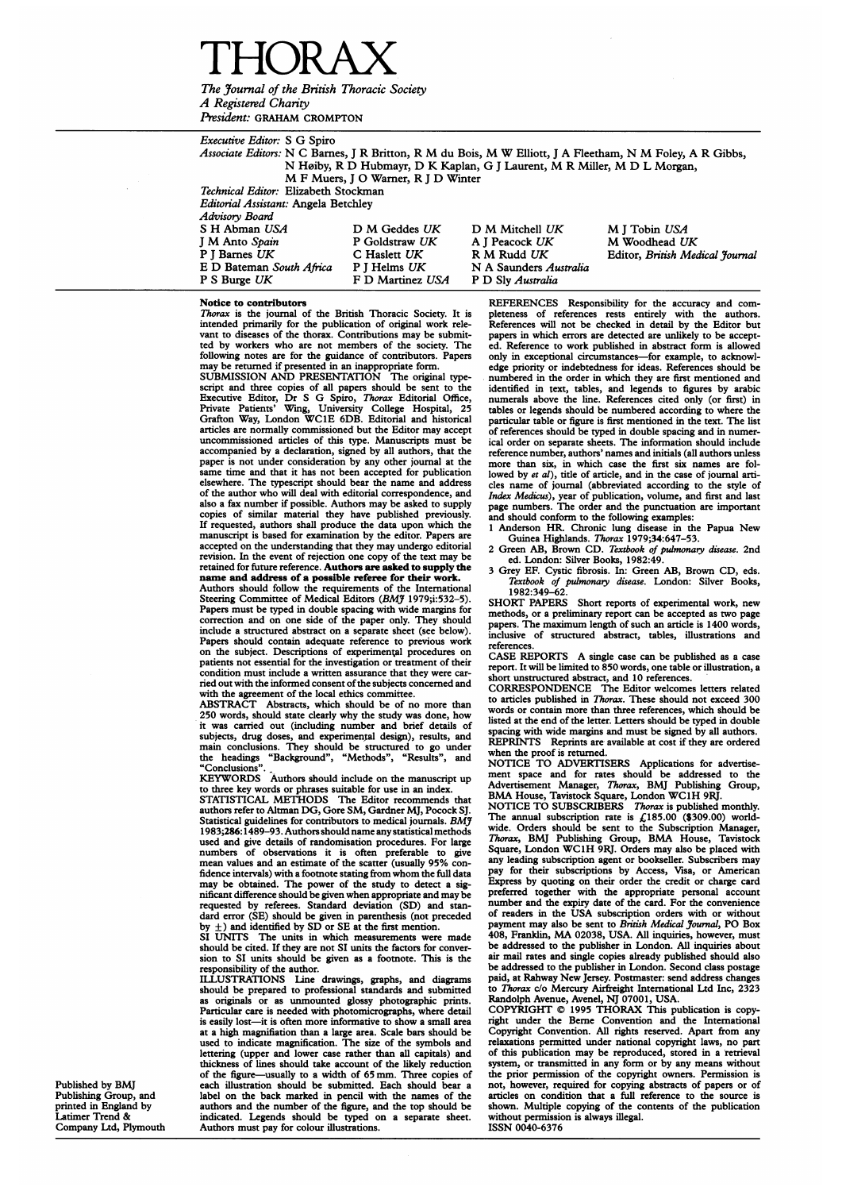# THORAX The Journal of the British Thoracic Society

A Registered Charity President: GRAHAM CROMPTON

|  | <i>Executive Editor:</i> S G Spiro                                                                              |                                                                                                           |                        |                                 |  |
|--|-----------------------------------------------------------------------------------------------------------------|-----------------------------------------------------------------------------------------------------------|------------------------|---------------------------------|--|
|  |                                                                                                                 | Associate Editors: N C Barnes, J R Britton, R M du Bois, M W Elliott, J A Fleetham, N M Foley, A R Gibbs, |                        |                                 |  |
|  | N Høiby, R D Hubmayr, D K Kaplan, G J Laurent, M R Miller, M D L Morgan,<br>M F Muers, I O Warner, R I D Winter |                                                                                                           |                        |                                 |  |
|  |                                                                                                                 |                                                                                                           |                        |                                 |  |
|  |                                                                                                                 | Technical Editor: Elizabeth Stockman                                                                      |                        |                                 |  |
|  | Editorial Assistant: Angela Betchley                                                                            |                                                                                                           |                        |                                 |  |
|  | Advisory Board                                                                                                  |                                                                                                           |                        |                                 |  |
|  | S H Abman USA                                                                                                   | D M Geddes UK                                                                                             | D M Mitchell UK        | M J Tobin USA                   |  |
|  | J M Anto Spain                                                                                                  | P Goldstraw UK                                                                                            | A I Peacock UK         | M Woodhead UK                   |  |
|  | P I Barnes UK                                                                                                   | C Haslett UK                                                                                              | R M Rudd UK            | Editor, British Medical Journal |  |
|  | E D Bateman South Africa                                                                                        | P J Helms UK                                                                                              | N A Saunders Australia |                                 |  |
|  | P S Burge UK                                                                                                    | F D Martinez USA                                                                                          | P D Sly Australia      |                                 |  |

#### Notice to contributors

Thorax is the journal of the British Thoracic Society. It is intended primarily for the publication of original work rele-vant to diseases of the thorax. Contributions may be submitted by workers who are not members of the society. following notes are for the guidance of contributors. Papers may be returned if presented in an inappropriate form.

SUBMISSION AND PRESENTATION The original type script and three copies of all papers should be sent to the Executive Editor, Dr S G Spiro, Thorax Editorial Office, Private Patients' Wing, University College Hospital, 25 Grafton Way, London WC1E 6DB. Editorial and histo uncommissioned articles of this type. Manuscripts must be accompanied by a declaration, signed by all authors, that the paper is not under consideration by any other journal at the same time and that it has not been accepted for publication elsewhere. The typescript should bear the name and address of the author who will deal with editorial correspondence, and also <sup>a</sup> fax number if possible. Authors may be asked to supply copies of similar material they have published previously. If requested, authors shall produce the data upon which the manuscript is based for examination by the editor. Papers are accepted on the understanding that they may undergo editorial revision. In the event of rejection one copy of the text may be retained for future reference. Authors are asked to supply the name and address of a possible referee for their work. Authors should follow the requirements of the International

Steering Committee of Medical Editors (BMJ 1979;i:532-5). Papers must be typed in double spacing with wide margins for correction and on one side of the paper only. They should include a structured abstract on a separate sheet (see below). Papers should contain adequate reference to previous work on the subject. Descriptions of experimental procedures on patients not essential for the investigation or treatment of their condition must include a written assurance that they were carried out with the informed consent of the subjects concerned and with the agreement of the local ethics committee.

ABSTRACT Abstracts, which should be of no more than 250 words, should state clearly why the study was done, how it was carried out (including number and brief details of<br>subjects, drug doses, and experimental design), results, and<br>main conclusions. They should be structured to go under<br>the headings "Background", "Methods", "Results"

"Conclusions".<br>KEYWORDS Authors should include on the manuscript up to three key words or phrases suitable for use in an index. STATISTICAL METHODS The Editor recommends that authors refer to Altman DG, Gore SM, Gardner MJ, Pocock SJ. Statistical guidelines for contributors to medical journals. BMY 1983;286:1489-93. Authors should name anystatistical methods used and give details of randomisation procedures. For large numbers of observations it is often preferable to give mean values and an estimate of the scatter (usually 95% confidence intervals) with <sup>a</sup> footnote stating from whom the full data may be obtained. The power of the study to detect a significant difference should be given when appropriate and may be requested by referees. Standard deviation (SD) and standard error (SE) should be given in parenthesis

should be cited. If they are not SI units the factors for conver-sion to SI units should be given as a footnote. This is the esponsibility of the author.

ILLUSTRATIONS Line drawings, graphs, and diagrams should be prepared to professional standards and submitted as originals or as unmounted glossy photographic prints. Particular care is needed with photomicrographs, where detail is easily lost—it is often more informative to show a small area at a high magnifiation than a large area. Scale bars should be used to indicate magnification. The size of the symbols and lettering (upper and lower case rather than all capitals) and thickness of lines should take account of the likely reduction of the figure-usually to <sup>a</sup> width of 65 mm. Three copies of each illustration should be submitted. Each should bear a label on the back marked in pencil with the names of the authors and the number of the figure, and the top should be indicated. Legends should be typed on a separate sheet. Authors must pay for colour illustrations.

REFERENCES Responsibility for the accuracy and completeness of references rests entirely with the authors. References will not be checked in detail by the Editor but papers in which errors are detected are unlikely to be accepted. Reference to work published in abstract form is allowed only in exceptional circumstances-for example, to acknowledge priority or indebtedness for ideas. References should be numbered in the order in which they are first mentioned and identified in text, tables, and legends to figures by arabic numerals above the line. References cited only (or first) in tables or legends should be numbered according to where the particular table or figure is first mentioned in the text. The list of references should be typed in double spacing and in numer-ical order on separate sheets. The information should include reference number, authors' names and initials (all authors unless more than six, in which case the first six names are followed by et al), title of article, and in the case of journal articles name of journal (abbreviated according to the style of *Index Medicus*), year of publication, volume, and first and last page numbers. The order and the punctuation are important and should conform to the following examples:

1 Anderson HR. Chronic lung disease in the Papua New<br>Guinea Highlands. Thorax 1979;34:647-53.<br>2 Green AB, Brown CD. Textbook of pulmonary disease. 2nd<br>ed. London: Silver Books, 1982:49.

3 Grey EF. Cystic fibrosis. In: Green AB, Brown CD, eds. Textbook of pulmonary disease. London: Silver Books, 1982:349-62.

SHORT PAPERS Short reports of experimental work, new methods, or a preliminary report can be accepted as two page papers. The maximum length of such an article is 1400 words, inclusive of structured abstract, tables, illustrations and references.

CASE REPORTS A single case can be published as <sup>a</sup> case report. It will be limited to 850 words, one table or illustration, a

short unstructured abstract, and 10 references. CORRESPONDENCE The Editor welcomes letters related to articles published in *Thorax*. These should not exceed 300 words or contain more than three references, which should be listed at the end of the letter. Letters should be typed in double spacing with wide margins and must be signed by all authors. REPRINTS Reprints are available at cost if they are ordered when the proof is returned. NOTICE TO ADVERTISERS Applications for advertise-

ment space and for rates should be addressed to the Advertisement Manager, Thorax, BMJ Publishing Group, BMA House, Tavistock Square, London WC1H 9RJ.<br>BMA House, Tavistock Square, London WC1H 9RJ.<br>NOTICE TO SUBSCRIBERS *Th* 

The annual subscription rate is  $£185.00$  (\$309.00) worldwide. Orders should be sent to the Subscription Manager, *Thorax*, BMJ Publishing Group, BMA House, Tavistock Square, London WC1H 9RJ. Orders may also be placed with any leading subscription agent or bookseller. Subscribers may pay for their subscriptions by Access, Visa, or American Express by quoting on their order the credit or charge card preferred together with the appropriate personal account number and the expiry date of the card. For the convenience of readers in the USA subscription orders with or without payment may also be sent to British Medical Journal, PO Box 408, Franklin, MA 02038, USA. All inquiries, however, must be addressed to the publisher in London. All inquiries about air mail rates and single copies already published should also be addressed to the publisher in London. Second class postage paid, at Rahway New Jersey. Postmaster: send address changes to Thorax c/o Mercury Airfreight International Ltd Inc, 2323

Randolph Avenue, Avenel, NJ 07001, USA. COPYRIGHT © <sup>1995</sup> THORAX This publication is copy-right under the Berne Convention and the International Copyright Convention. All rights reserved. Apart from any relaxations permitted under national copyright laws, no part of this publication may be reproduced, stored in a retrieval system, or transmitted in any form or by any means without the prior permission of the copyright owners. Permission is not, however, required for copying abstracts of papers or of articles on condition that a full reference to the source is shown. Multiple copying of the contents of the publication without permission is always illegal. ISSN 0040-6376

Published by BMJ Publishing Group, and printed in England by Latimer Trend & Company Ltd, Plymouth